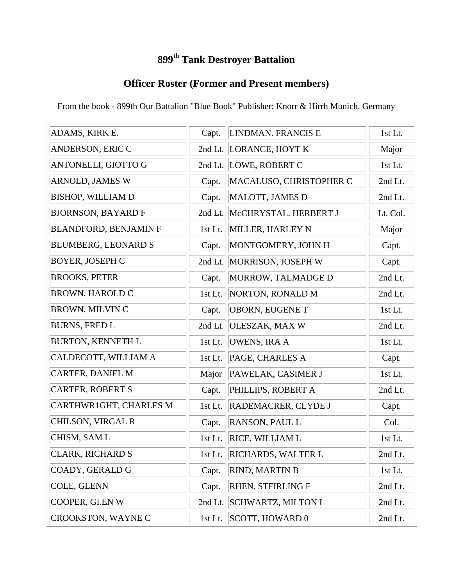## **899th Tank Destroyer Battalion**

### **Officer Roster (Former and Present members)**

From the book - 899th Our Battalion "Blue Book" Publisher: Knorr & Hirrh Munich, Germany

| ADAMS, KIRK E.               | Capt.     | LINDMAN. FRANCIS E        | 1st Lt.  |
|------------------------------|-----------|---------------------------|----------|
| <b>ANDERSON, ERIC C</b>      |           | 2nd Lt. LORANCE, HOYT K   | Major    |
| ANTONELLI, GIOTTO G          |           | 2nd Lt. LOWE, ROBERT C    | 1st Lt.  |
| <b>ARNOLD, JAMES W</b>       | Capt.     | MACALUSO, CHRISTOPHER C   | 2nd Lt.  |
| <b>BISHOP, WILLIAM D</b>     | Capt.     | MALOTT, JAMES D           | 2nd Lt.  |
| <b>BJORNSON, BAYARD F</b>    | 2nd Lt.   | McCHRYSTAL. HERBERT J     | Lt. Col. |
| <b>BLANDFORD, BENJAMIN F</b> | 1st Lt.   | MILLER, HARLEY N          | Major    |
| <b>BLUMBERG, LEONARD S</b>   | Capt.     | MONTGOMERY, JOHN H        | Capt.    |
| <b>BOYER, JOSEPH C</b>       | 2nd Lt.   | MORRISON, JOSEPH W        | Capt.    |
| <b>BROOKS, PETER</b>         | Capt.     | MORROW, TALMADGE D        | 2nd Lt.  |
| <b>BROWN, HAROLD C</b>       | 1st Lt.   | NORTON, RONALD M          | 2nd Lt.  |
| <b>BROWN, MILVIN C</b>       | Capt.     | OBORN, EUGENE T           | 1st Lt.  |
| <b>BURNS, FRED L</b>         | 2nd Lt.   | OLESZAK, MAX W            | 2nd Lt.  |
| <b>BURTON, KENNETH L</b>     | 1st Lt.   | OWENS, IRA A              | 1st Lt.  |
| CALDECOTT, WILLIAM A         | 1st Lt.   | PAGE, CHARLES A           | Capt.    |
| <b>CARTER, DANIEL M</b>      | Major     | PAWELAK, CASIMER J        | 1st Lt.  |
| <b>CARTER, ROBERT S</b>      | Capt.     | PHILLIPS, ROBERT A        | 2nd Lt.  |
| CARTHWR1GHT, CHARLES M       | 1st Lt.   | RADEMACRER, CLYDE J       | Capt.    |
| CHILSON, VIRGAL R            | Capt.     | <b>RANSON, PAUL L</b>     | Col.     |
| CHISM, SAM L                 | 1st Lt.   | <b>RICE, WILLIAM L</b>    | 1st Lt.  |
| CLARK, RICHARD S             | $1st$ Lt. | <b>RICHARDS, WALTER L</b> | 2nd Lt.  |
| COADY, GERALD G              | Capt.     | <b>RIND, MARTIN B</b>     | 1st Lt.  |
| COLE, GLENN                  | Capt.     | RHEN, STFIRLING F         | 2nd Lt.  |
| COOPER, GI.EN W              | 2nd Lt.   | <b>SCHWARTZ, MILTON L</b> | 2nd Lt.  |
| <b>CROOKSTON, WAYNE C</b>    | 1st Lt.   | SCOTT, HOWARD 0           | 2nd Lt.  |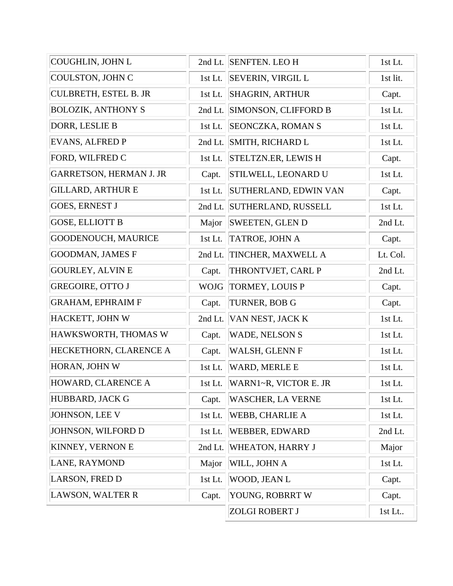| COUGHLIN, JOHN L               |             | 2nd Lt. SENFTEN. LEO H      | 1st Lt.  |
|--------------------------------|-------------|-----------------------------|----------|
| COULSTON, JOHN C               | $1st$ Lt.   | <b>SEVERIN, VIRGIL L</b>    | 1st lit. |
| <b>CULBRETH, ESTEL B. JR</b>   | 1st Lt.     | <b>SHAGRIN, ARTHUR</b>      | Capt.    |
| <b>BOLOZIK, ANTHONY S</b>      | 2nd Lt.     | <b>SIMONSON, CLIFFORD B</b> | 1st Lt.  |
| DORR, LESLIE B                 | 1st Lt.     | <b>SEONCZKA, ROMAN S</b>    | 1st Lt.  |
| EVANS, ALFRED P                | 2nd Lt.     | <b>SMITH, RICHARD L</b>     | 1st Lt.  |
| FORD, WILFRED C                | 1st Lt.     | <b>STELTZN.ER, LEWIS H</b>  | Capt.    |
| <b>GARRETSON, HERMAN J. JR</b> | Capt.       | <b>STILWELL, LEONARD U</b>  | 1st Lt.  |
| <b>GILLARD, ARTHUR E</b>       | 1st Lt.     | SUTHERLAND, EDWIN VAN       | Capt.    |
| <b>GOES, ERNEST J</b>          | 2nd Lt.     | <b>SUTHERLAND, RUSSELL</b>  | 1st Lt.  |
| <b>GOSE, ELLIOTT B</b>         | Major       | <b>SWEETEN, GLEN D</b>      | 2nd Lt.  |
| <b>GOODENOUCH, MAURICE</b>     | 1st Lt.     | TATROE, JOHN A              | Capt.    |
| GOODMAN, JAMES F               | 2nd Lt.     | TINCHER, MAXWELL A          | Lt. Col. |
| <b>GOURLEY, ALVIN E</b>        | Capt.       | THRONTVJET, CARL P          | 2nd Lt.  |
| <b>GREGOIRE, OTTO J</b>        | <b>WOJG</b> | TORMEY, LOUIS P             | Capt.    |
| GRAHAM, EPHRAIM F              | Capt.       | TURNER, BOB G               | Capt.    |
| HACKETT, JOHN W                | 2nd Lt.     | VAN NEST, JACK K            | 1st Lt.  |
| HAWKSWORTH, THOMAS W           | Capt.       | <b>WADE, NELSON S</b>       | 1st Lt.  |
| HECKETHORN, CLARENCE A         | Capt.       | WALSH, GLENN F              | 1st Lt.  |
| HORAN, JOHN W                  | 1st Lt.     | WARD, MERLE E               | 1st Lt.  |
| HOWARD, CLARENCE A             | 1st Lt.     | WARN1~R, VICTOR E. JR       | 1st Lt.  |
| HUBBARD, JACK G                | Capt.       | <b>WASCHER, LA VERNE</b>    | 1st Lt.  |
| JOHNSON, LEE V                 | 1st Lt.     | <b>WEBB, CHARLIE A</b>      | 1st Lt.  |
| JOHNSON, WILFORD D             | 1st Lt.     | <b>WEBBER, EDWARD</b>       | 2nd Lt.  |
| <b>KINNEY, VERNON E</b>        | 2nd Lt.     | WHEATON, HARRY J            | Major    |
| LANE, RAYMOND                  | Major       | WILL, JOHN A                | 1st Lt.  |
| LARSON, FRED D                 | 1st Lt.     | WOOD, JEAN L                | Capt.    |
| <b>LAWSON, WALTER R</b>        | Capt.       | YOUNG, ROBRRT W             | Capt.    |
|                                |             | <b>ZOLGI ROBERT J</b>       | 1st Lt   |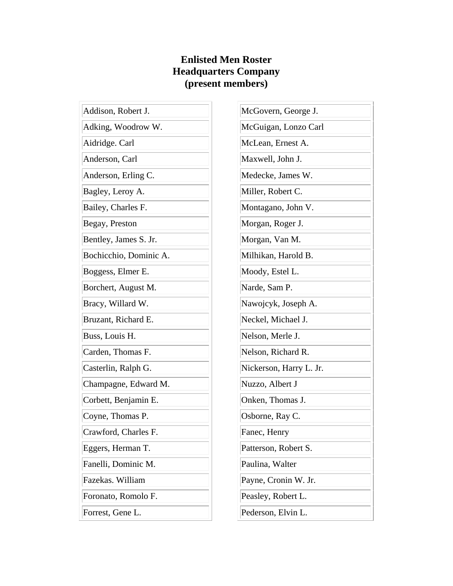#### **Enlisted Men Roster Headquarters Company (present members)**

| Addison, Robert J.     | McGo              |
|------------------------|-------------------|
| Adking, Woodrow W.     | McGu              |
| Aidridge. Carl         | McLea             |
| Anderson, Carl         | Maxw              |
| Anderson, Erling C.    | Medeo             |
| Bagley, Leroy A.       | Miller            |
| Bailey, Charles F.     | Monta             |
| Begay, Preston         | Morga             |
| Bentley, James S. Jr.  | Morga             |
| Bochicchio, Dominic A. | Milhik            |
| Boggess, Elmer E.      | Mood              |
| Borchert, August M.    | Narde             |
| Bracy, Willard W.      | Nawo <sub>1</sub> |
| Bruzant, Richard E.    | Necke             |
| Buss, Louis H.         | Nelsoi            |
| Carden, Thomas F.      | Nelson            |
| Casterlin, Ralph G.    | Nickel            |
| Champagne, Edward M.   | Nuzzo             |
| Corbett, Benjamin E.   | Onker             |
| Coyne, Thomas P.       | Osbor.            |
| Crawford, Charles F.   | Fanec.            |
| Eggers, Herman T.      | Patters           |
| Fanelli, Dominic M.    | Paulin            |
| Fazekas. William       | Payne             |
| Foronato, Romolo F.    | Peasle            |
| Forrest, Gene L.       | Peders            |

wern, George J. iigan, Lonzo Carl an, Ernest A. vell, John J. cke, James W. , Robert C. agano, John V. an, Roger J. an, Van M. kan, Harold B. y, Estel L.  $\epsilon$ , Sam P. jcyk, Joseph A. el, Michael J. n, Merle J. n, Richard R. rson, Harry L. Jr. <sub>b</sub>, Albert J n, Thomas J. ne, Ray C. Henry son, Robert S. a, Walter e, Cronin W. Jr. ey, Robert L. son, Elvin L.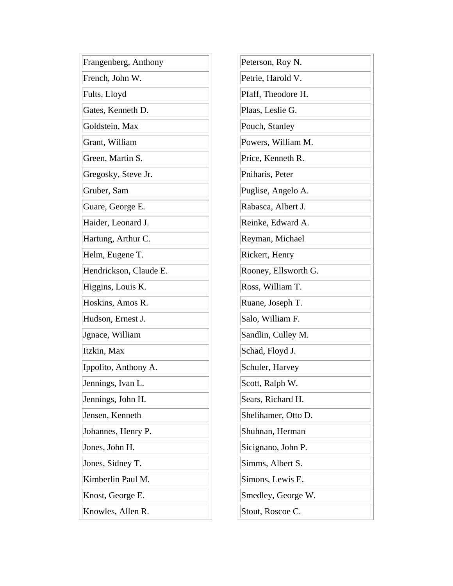| Frangenberg, Anthony   | Peterson, Roy N.     |
|------------------------|----------------------|
| French, John W.        | Petrie, Harold V.    |
| Fults, Lloyd           | Pfaff, Theodore H.   |
| Gates, Kenneth D.      | Plaas, Leslie G.     |
| Goldstein, Max         | Pouch, Stanley       |
| Grant, William         | Powers, William M.   |
| Green, Martin S.       | Price, Kenneth R.    |
| Gregosky, Steve Jr.    | Pniharis, Peter      |
| Gruber, Sam            | Puglise, Angelo A.   |
| Guare, George E.       | Rabasca, Albert J.   |
| Haider, Leonard J.     | Reinke, Edward A.    |
| Hartung, Arthur C.     | Reyman, Michael      |
| Helm, Eugene T.        | Rickert, Henry       |
| Hendrickson, Claude E. | Rooney, Ellsworth G. |
| Higgins, Louis K.      | Ross, William T.     |
| Hoskins, Amos R.       | Ruane, Joseph T.     |
| Hudson, Ernest J.      | Salo, William F.     |
| Jgnace, William        | Sandlin, Culley M.   |
| Itzkin, Max            | Schad, Floyd J.      |
| Ippolito, Anthony A.   | Schuler, Harvey      |
| Jennings, Ivan L.      | Scott, Ralph W.      |
| Jennings, John H.      | Sears, Richard H.    |
| Jensen, Kenneth        | Shelihamer, Otto D.  |
| Johannes, Henry P.     | Shuhnan, Herman      |
| Jones, John H.         | Sicignano, John P.   |
| Jones, Sidney T.       | Simms, Albert S.     |
| Kimberlin Paul M.      | Simons, Lewis E.     |
| Knost, George E.       | Smedley, George W.   |
| Knowles, Allen R.      | Stout, Roscoe C.     |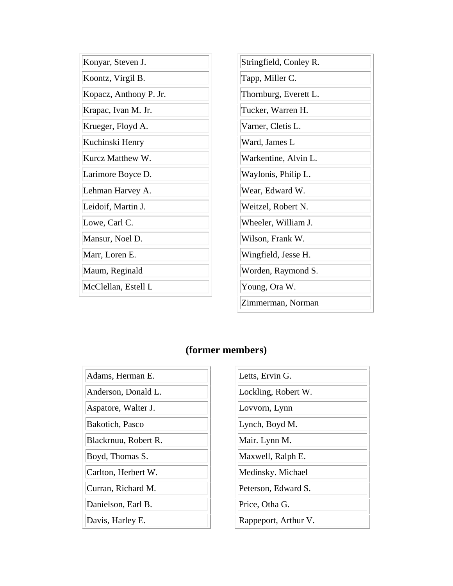| Konyar, Steven J.      | Stringfield, Conley R. |
|------------------------|------------------------|
| Koontz, Virgil B.      | Tapp, Miller C.        |
| Kopacz, Anthony P. Jr. | Thornburg, Everett L.  |
| Krapac, Ivan M. Jr.    | Tucker, Warren H.      |
| Krueger, Floyd A.      | Varner, Cletis L.      |
| Kuchinski Henry        | Ward, James L          |
| Kurcz Matthew W.       | Warkentine, Alvin L.   |
| Larimore Boyce D.      | Waylonis, Philip L.    |
| Lehman Harvey A.       | Wear, Edward W.        |
| Leidoif, Martin J.     | Weitzel, Robert N.     |
| Lowe, Carl C.          | Wheeler, William J.    |
| Mansur, Noel D.        | Wilson, Frank W.       |
| Marr, Loren E.         | Wingfield, Jesse H.    |
| Maum, Reginald         | Worden, Raymond S.     |
| McClellan, Estell L    | Young, Ora W.          |
|                        | Zimmerman, Norman      |

| Adams, Herman E.     |
|----------------------|
| Anderson, Donald L.  |
| Aspatore, Walter J.  |
| Bakotich, Pasco      |
| Blackrnuu, Robert R. |
| Boyd, Thomas S.      |
| Carlton, Herbert W.  |
| Curran, Richard M.   |
| Danielson, Earl B.   |
| Davis, Harley E.     |

| Letts, Ervin G.      |
|----------------------|
| Lockling, Robert W.  |
| Lovvorn, Lynn        |
| Lynch, Boyd M.       |
| Mair. Lynn M.        |
| Maxwell, Ralph E.    |
| Medinsky. Michael    |
| Peterson, Edward S.  |
| Price, Otha G.       |
| Rappeport, Arthur V. |
|                      |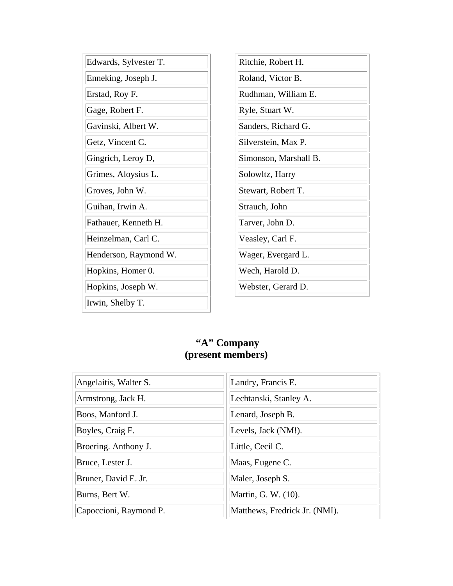| Edwards, Sylvester T. | Ritchie, Robert H.    |
|-----------------------|-----------------------|
| Enneking, Joseph J.   | Roland, Victor B.     |
| Erstad, Roy F.        | Rudhman, William E.   |
| Gage, Robert F.       | Ryle, Stuart W.       |
| Gavinski, Albert W.   | Sanders, Richard G.   |
| Getz, Vincent C.      | Silverstein, Max P.   |
| Gingrich, Leroy D,    | Simonson, Marshall B. |
| Grimes, Aloysius L.   | Solowltz, Harry       |
| Groves, John W.       | Stewart, Robert T.    |
| Guihan, Irwin A.      | Strauch, John         |
| Fathauer, Kenneth H.  | Tarver, John D.       |
| Heinzelman, Carl C.   | Veasley, Carl F.      |
| Henderson, Raymond W. | Wager, Evergard L.    |
| Hopkins, Homer 0.     | Wech, Harold D.       |
| Hopkins, Joseph W.    | Webster, Gerard D.    |
| Irwin, Shelby T.      |                       |

#### **"A" Company (present members)**

| Angelaitis, Walter S.  | Landry, Francis E.            |
|------------------------|-------------------------------|
| Armstrong, Jack H.     | Lechtanski, Stanley A.        |
| Boos, Manford J.       | Lenard, Joseph B.             |
| Boyles, Craig F.       | Levels, Jack (NM!).           |
| Broering. Anthony J.   | Little, Cecil C.              |
| Bruce, Lester J.       | Maas, Eugene C.               |
| Bruner, David E. Jr.   | Maler, Joseph S.              |
| Burns, Bert W.         | Martin, G. W. (10).           |
| Capoccioni, Raymond P. | Matthews, Fredrick Jr. (NMI). |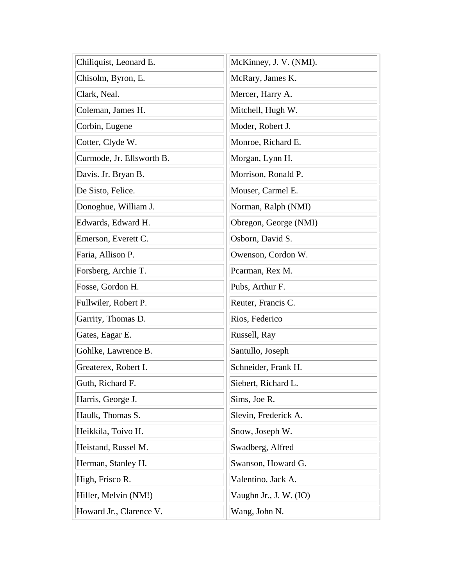| Chiliquist, Leonard E.    | McKinney, J. V. (NMI). |
|---------------------------|------------------------|
| Chisolm, Byron, E.        | McRary, James K.       |
| Clark, Neal.              | Mercer, Harry A.       |
| Coleman, James H.         | Mitchell, Hugh W.      |
| Corbin, Eugene            | Moder, Robert J.       |
| Cotter, Clyde W.          | Monroe, Richard E.     |
| Curmode, Jr. Ellsworth B. | Morgan, Lynn H.        |
| Davis. Jr. Bryan B.       | Morrison, Ronald P.    |
| De Sisto, Felice.         | Mouser, Carmel E.      |
| Donoghue, William J.      | Norman, Ralph (NMI)    |
| Edwards, Edward H.        | Obregon, George (NMI)  |
| Emerson, Everett C.       | Osborn, David S.       |
| Faria, Allison P.         | Owenson, Cordon W.     |
| Forsberg, Archie T.       | Pcarman, Rex M.        |
| Fosse, Gordon H.          | Pubs, Arthur F.        |
| Fullwiler, Robert P.      | Reuter, Francis C.     |
| Garrity, Thomas D.        | Rios, Federico         |
| Gates, Eagar E.           | Russell, Ray           |
| Gohlke, Lawrence B.       | Santullo, Joseph       |
| Greaterex, Robert I.      | Schneider, Frank H.    |
| Guth, Richard F.          | Siebert, Richard L.    |
| Harris, George J.         | Sims, Joe R.           |
| Haulk, Thomas S.          | Slevin, Frederick A.   |
| Heikkila, Toivo H.        | Snow, Joseph W.        |
| Heistand, Russel M.       | Swadberg, Alfred       |
| Herman, Stanley H.        | Swanson, Howard G.     |
| High, Frisco R.           | Valentino, Jack A.     |
| Hiller, Melvin (NM!)      | Vaughn Jr., J. W. (IO) |
| Howard Jr., Clarence V.   | Wang, John N.          |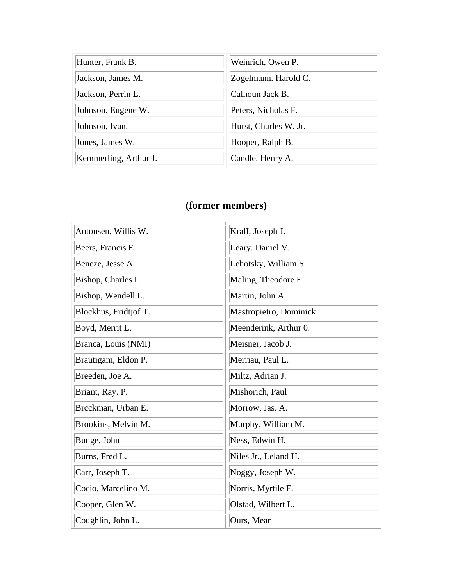| Hunter, Frank B.      | Weinrich, Owen P.     |
|-----------------------|-----------------------|
| Jackson, James M.     | Zogelmann. Harold C.  |
| Jackson, Perrin L.    | Calhoun Jack B.       |
| Johnson. Eugene W.    | Peters, Nicholas F.   |
| Johnson, Ivan.        | Hurst, Charles W. Jr. |
| Jones, James W.       | Hooper, Ralph B.      |
| Kemmerling, Arthur J. | Candle. Henry A.      |

| Antonsen, Willis W.   | Krall, Joseph J.       |
|-----------------------|------------------------|
| Beers, Francis E.     | Leary. Daniel V.       |
| Beneze, Jesse A.      | Lehotsky, William S.   |
| Bishop, Charles L.    | Maling, Theodore E.    |
| Bishop, Wendell L.    | Martin, John A.        |
| Blockhus, Fridtjof T. | Mastropietro, Dominick |
| Boyd, Merrit L.       | Meenderink, Arthur 0.  |
| Branca, Louis (NMI)   | Meisner, Jacob J.      |
| Brautigam, Eldon P.   | Merriau, Paul L.       |
| Breeden, Joe A.       | Miltz, Adrian J.       |
| Briant, Ray. P.       | Mishorich, Paul        |
| Brcckman, Urban E.    | Morrow, Jas. A.        |
| Brookins, Melvin M.   | Murphy, William M.     |
| Bunge, John           | Ness, Edwin H.         |
| Burns, Fred L.        | Niles Jr., Leland H.   |
| Carr, Joseph T.       | Noggy, Joseph W.       |
| Cocio, Marcelino M.   | Norris, Myrtile F.     |
| Cooper, Glen W.       | Olstad, Wilbert L.     |
| Coughlin, John L.     | Ours, Mean             |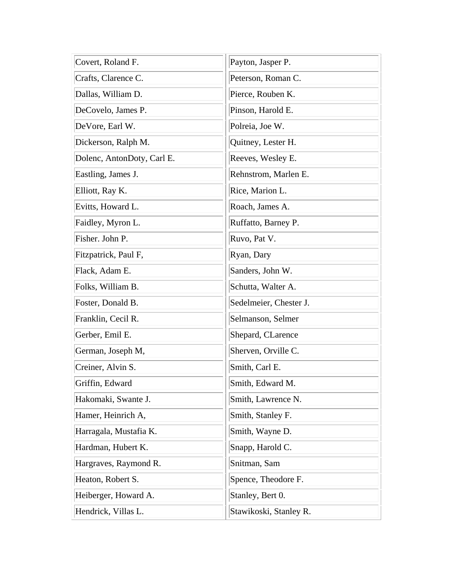| Covert, Roland F.          | Payton, Jasper P.      |
|----------------------------|------------------------|
| Crafts, Clarence C.        | Peterson, Roman C.     |
| Dallas, William D.         | Pierce, Rouben K.      |
| DeCovelo, James P.         | Pinson, Harold E.      |
| DeVore, Earl W.            | Polreia, Joe W.        |
| Dickerson, Ralph M.        | Quitney, Lester H.     |
| Dolenc, AntonDoty, Carl E. | Reeves, Wesley E.      |
| Eastling, James J.         | Rehnstrom, Marlen E.   |
| Elliott, Ray K.            | Rice, Marion L.        |
| Evitts, Howard L.          | Roach, James A.        |
| Faidley, Myron L.          | Ruffatto, Barney P.    |
| Fisher. John P.            | Ruvo, Pat V.           |
| Fitzpatrick, Paul F,       | Ryan, Dary             |
| Flack, Adam E.             | Sanders, John W.       |
| Folks, William B.          | Schutta, Walter A.     |
| Foster, Donald B.          | Sedelmeier, Chester J. |
| Franklin, Cecil R.         | Selmanson, Selmer      |
| Gerber, Emil E.            | Shepard, CLarence      |
| German, Joseph M,          | Sherven, Orville C.    |
| Creiner, Alvin S.          | Smith, Carl E.         |
| Griffin, Edward            | Smith, Edward M.       |
| Hakomaki, Swante J.        | Smith, Lawrence N.     |
| Hamer, Heinrich A,         | Smith, Stanley F.      |
| Harragala, Mustafia K.     | Smith, Wayne D.        |
| Hardman, Hubert K.         | Snapp, Harold C.       |
| Hargraves, Raymond R.      | Snitman, Sam           |
| Heaton, Robert S.          | Spence, Theodore F.    |
| Heiberger, Howard A.       | Stanley, Bert 0.       |
| Hendrick, Villas L.        | Stawikoski, Stanley R. |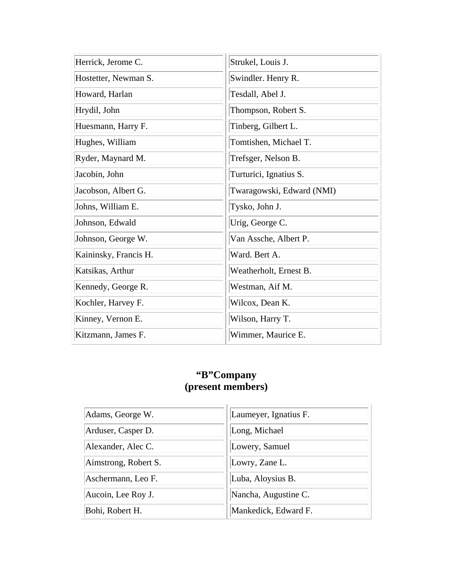| Herrick, Jerome C.    | Strukel, Louis J.         |
|-----------------------|---------------------------|
| Hostetter, Newman S.  | Swindler. Henry R.        |
| Howard, Harlan        | Tesdall, Abel J.          |
| Hrydil, John          | Thompson, Robert S.       |
| Huesmann, Harry F.    | Tinberg, Gilbert L.       |
| Hughes, William       | Tomtishen, Michael T.     |
| Ryder, Maynard M.     | Trefsger, Nelson B.       |
| Jacobin, John         | Turturici, Ignatius S.    |
| Jacobson, Albert G.   | Twaragowski, Edward (NMI) |
| Johns, William E.     | Tysko, John J.            |
| Johnson, Edwald       | Urig, George C.           |
| Johnson, George W.    | Van Assche, Albert P.     |
| Kaininsky, Francis H. | Ward. Bert A.             |
| Katsikas, Arthur      | Weatherholt, Ernest B.    |
| Kennedy, George R.    | Westman, Aif M.           |
| Kochler, Harvey F.    | Wilcox, Dean K.           |
| Kinney, Vernon E.     | Wilson, Harry T.          |
| Kitzmann, James F.    | Wimmer, Maurice E.        |

#### **"B"Company (present members)**

| Adams, George W.     | Laumeyer, Ignatius F. |
|----------------------|-----------------------|
| Arduser, Casper D.   | Long, Michael         |
| Alexander, Alec C.   | Lowery, Samuel        |
| Aimstrong, Robert S. | Lowry, Zane L.        |
| Aschermann, Leo F.   | Luba, Aloysius B.     |
| Aucoin, Lee Roy J.   | Nancha, Augustine C.  |
| Bohi, Robert H.      | Mankedick, Edward F.  |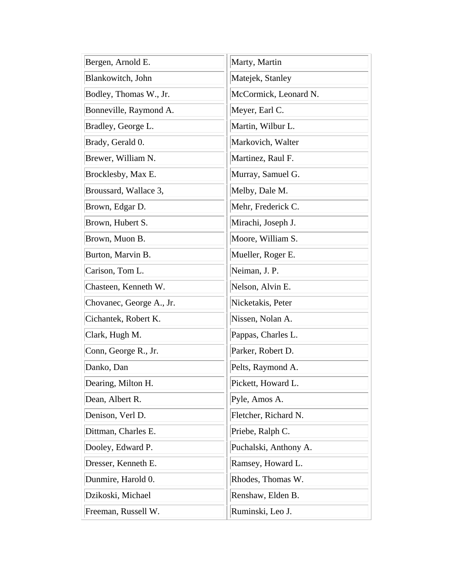| Bergen, Arnold E.        | Marty, Martin         |
|--------------------------|-----------------------|
| Blankowitch, John        | Matejek, Stanley      |
| Bodley, Thomas W., Jr.   | McCormick, Leonard N. |
| Bonneville, Raymond A.   | Meyer, Earl C.        |
| Bradley, George L.       | Martin, Wilbur L.     |
| Brady, Gerald 0.         | Markovich, Walter     |
| Brewer, William N.       | Martinez, Raul F.     |
| Brocklesby, Max E.       | Murray, Samuel G.     |
| Broussard, Wallace 3,    | Melby, Dale M.        |
| Brown, Edgar D.          | Mehr, Frederick C.    |
| Brown, Hubert S.         | Mirachi, Joseph J.    |
| Brown, Muon B.           | Moore, William S.     |
| Burton, Marvin B.        | Mueller, Roger E.     |
| Carison, Tom L.          | Neiman, J. P.         |
| Chasteen, Kenneth W.     | Nelson, Alvin E.      |
| Chovanec, George A., Jr. | Nicketakis, Peter     |
| Cichantek, Robert K.     | Nissen, Nolan A.      |
| Clark, Hugh M.           | Pappas, Charles L.    |
| Conn, George R., Jr.     | Parker, Robert D.     |
| Danko, Dan               | Pelts, Raymond A.     |
| Dearing, Milton H.       | Pickett, Howard L.    |
| Dean, Albert R.          | Pyle, Amos A.         |
| Denison, Verl D.         | Fletcher, Richard N.  |
| Dittman, Charles E.      | Priebe, Ralph C.      |
| Dooley, Edward P.        | Puchalski, Anthony A. |
| Dresser, Kenneth E.      | Ramsey, Howard L.     |
| Dunmire, Harold 0.       | Rhodes, Thomas W.     |
| Dzikoski, Michael        | Renshaw, Elden B.     |
| Freeman, Russell W.      | Ruminski, Leo J.      |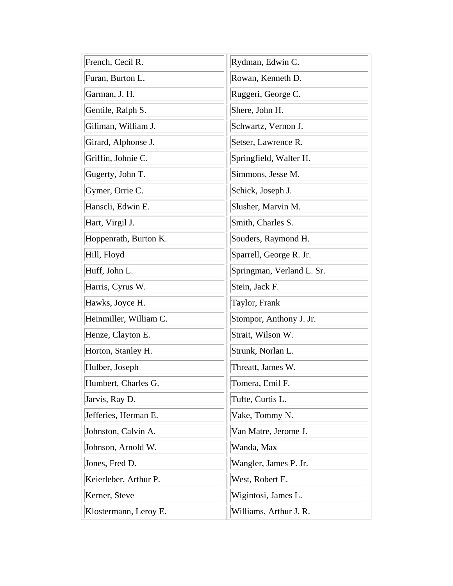| French, Cecil R.       | Rydman, Edwin C.          |
|------------------------|---------------------------|
| Furan, Burton L.       | Rowan, Kenneth D.         |
| Garman, J. H.          | Ruggeri, George C.        |
| Gentile, Ralph S.      | Shere, John H.            |
| Giliman, William J.    | Schwartz, Vernon J.       |
| Girard, Alphonse J.    | Setser, Lawrence R.       |
| Griffin, Johnie C.     | Springfield, Walter H.    |
| Gugerty, John T.       | Simmons, Jesse M.         |
| Gymer, Orrie C.        | Schick, Joseph J.         |
| Hanscli, Edwin E.      | Slusher, Marvin M.        |
| Hart, Virgil J.        | Smith, Charles S.         |
| Hoppenrath, Burton K.  | Souders, Raymond H.       |
| Hill, Floyd            | Sparrell, George R. Jr.   |
| Huff, John L.          | Springman, Verland L. Sr. |
| Harris, Cyrus W.       | Stein, Jack F.            |
| Hawks, Joyce H.        | Taylor, Frank             |
| Heinmiller, William C. | Stompor, Anthony J. Jr.   |
| Henze, Clayton E.      | Strait, Wilson W.         |
| Horton, Stanley H.     | Strunk, Norlan L.         |
| Hulber, Joseph         | Threatt, James W.         |
| Humbert, Charles G.    | Tomera, Emil F.           |
| Jarvis, Ray D.         | Tufte, Curtis L.          |
| Jefferies, Herman E.   | Vake, Tommy N.            |
| Johnston, Calvin A.    | Van Matre, Jerome J.      |
| Johnson, Arnold W.     | Wanda, Max                |
| Jones, Fred D.         | Wangler, James P. Jr.     |
| Keierleber, Arthur P.  | West, Robert E.           |
| Kerner, Steve          | Wigintosi, James L.       |
| Klostermann, Leroy E.  | Williams, Arthur J. R.    |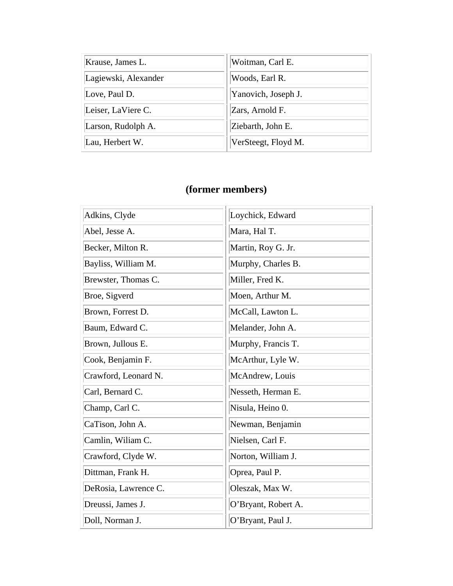| Krause, James L.     | Woitman, Carl E.    |
|----------------------|---------------------|
| Lagiewski, Alexander | Woods, Earl R.      |
| Love, Paul D.        | Yanovich, Joseph J. |
| Leiser, LaViere C.   | Zars, Arnold F.     |
| Larson, Rudolph A.   | Ziebarth, John E.   |
| Lau, Herbert W.      | VerSteegt, Floyd M. |

| Adkins, Clyde        | Loychick, Edward    |
|----------------------|---------------------|
| Abel, Jesse A.       | Mara, Hal T.        |
| Becker, Milton R.    | Martin, Roy G. Jr.  |
| Bayliss, William M.  | Murphy, Charles B.  |
| Brewster, Thomas C.  | Miller, Fred K.     |
| Broe, Sigverd        | Moen, Arthur M.     |
| Brown, Forrest D.    | McCall, Lawton L.   |
| Baum, Edward C.      | Melander, John A.   |
| Brown, Jullous E.    | Murphy, Francis T.  |
| Cook, Benjamin F.    | McArthur, Lyle W.   |
| Crawford, Leonard N. | McAndrew, Louis     |
| Carl, Bernard C.     | Nesseth, Herman E.  |
| Champ, Carl C.       | Nisula, Heino 0.    |
| CaTison, John A.     | Newman, Benjamin    |
| Camlin, Wiliam C.    | Nielsen, Carl F.    |
| Crawford, Clyde W.   | Norton, William J.  |
| Dittman, Frank H.    | Oprea, Paul P.      |
| DeRosia, Lawrence C. | Oleszak, Max W.     |
| Dreussi, James J.    | O'Bryant, Robert A. |
| Doll, Norman J.      | O'Bryant, Paul J.   |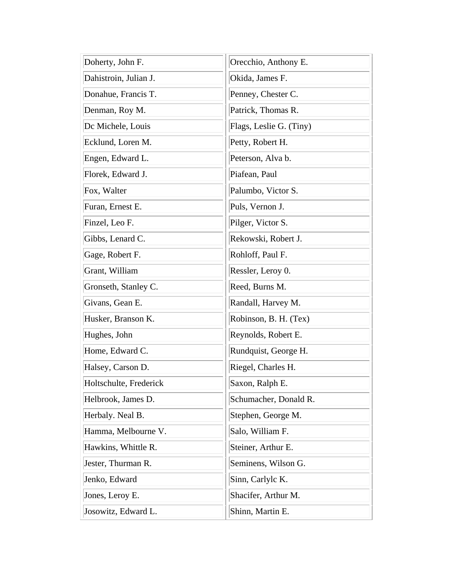| Doherty, John F.       | Orecchio, Anthony E.    |
|------------------------|-------------------------|
| Dahistroin, Julian J.  | Okida, James F.         |
| Donahue, Francis T.    | Penney, Chester C.      |
| Denman, Roy M.         | Patrick, Thomas R.      |
| Dc Michele, Louis      | Flags, Leslie G. (Tiny) |
| Ecklund, Loren M.      | Petty, Robert H.        |
| Engen, Edward L.       | Peterson, Alva b.       |
| Florek, Edward J.      | Piafean, Paul           |
| Fox, Walter            | Palumbo, Victor S.      |
| Furan, Ernest E.       | Puls, Vernon J.         |
| Finzel, Leo F.         | Pilger, Victor S.       |
| Gibbs, Lenard C.       | Rekowski, Robert J.     |
| Gage, Robert F.        | Rohloff, Paul F.        |
| Grant, William         | Ressler, Leroy 0.       |
| Gronseth, Stanley C.   | Reed, Burns M.          |
| Givans, Gean E.        | Randall, Harvey M.      |
| Husker, Branson K.     | Robinson, B. H. (Tex)   |
| Hughes, John           | Reynolds, Robert E.     |
| Home, Edward C.        | Rundquist, George H.    |
| Halsey, Carson D.      | Riegel, Charles H.      |
| Holtschulte, Frederick | Saxon, Ralph E.         |
| Helbrook, James D.     | Schumacher, Donald R.   |
| Herbaly. Neal B.       | Stephen, George M.      |
| Hamma, Melbourne V.    | Salo, William F.        |
| Hawkins, Whittle R.    | Steiner, Arthur E.      |
| Jester, Thurman R.     | Seminens, Wilson G.     |
| Jenko, Edward          | Sinn, Carlylc K.        |
| Jones, Leroy E.        | Shacifer, Arthur M.     |
| Josowitz, Edward L.    | Shinn, Martin E.        |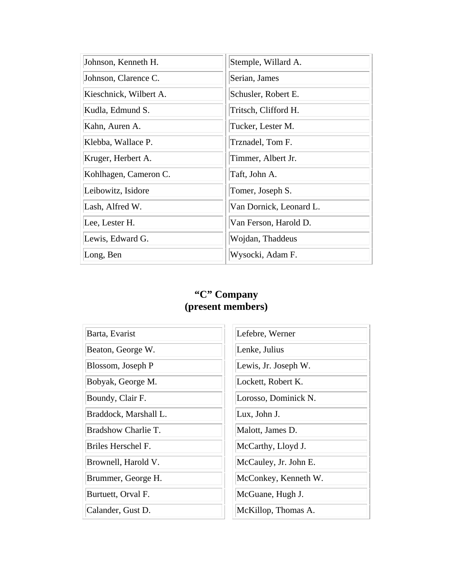| Johnson, Kenneth H.    | Stemple, Willard A.     |
|------------------------|-------------------------|
| Johnson, Clarence C.   | Serian, James           |
| Kieschnick, Wilbert A. | Schusler, Robert E.     |
| Kudla, Edmund S.       | Tritsch, Clifford H.    |
| Kahn, Auren A.         | Tucker, Lester M.       |
| Klebba, Wallace P.     | Trznadel, Tom F.        |
| Kruger, Herbert A.     | Timmer, Albert Jr.      |
| Kohlhagen, Cameron C.  | Taft, John A.           |
| Leibowitz, Isidore     | Tomer, Joseph S.        |
| Lash, Alfred W.        | Van Dornick, Leonard L. |
| Lee, Lester H.         | Van Ferson, Harold D.   |
| Lewis, Edward G.       | Wojdan, Thaddeus        |
| Long, Ben              | Wysocki, Adam F.        |

#### **"C" Company (present members)**

| Barta, Evarist        | Lefebre, Werner       |
|-----------------------|-----------------------|
| Beaton, George W.     | Lenke, Julius         |
| Blossom, Joseph P     | Lewis, Jr. Joseph W.  |
| Bobyak, George M.     | Lockett, Robert K.    |
| Boundy, Clair F.      | Lorosso, Dominick N.  |
| Braddock, Marshall L. | Lux, John J.          |
| Bradshow Charlie T.   | Malott, James D.      |
| Briles Herschel F.    | McCarthy, Lloyd J.    |
| Brownell, Harold V.   | McCauley, Jr. John E. |
| Brummer, George H.    | McConkey, Kenneth W.  |
| Burtuett, Orval F.    | McGuane, Hugh J.      |
| Calander, Gust D.     | McKillop, Thomas A.   |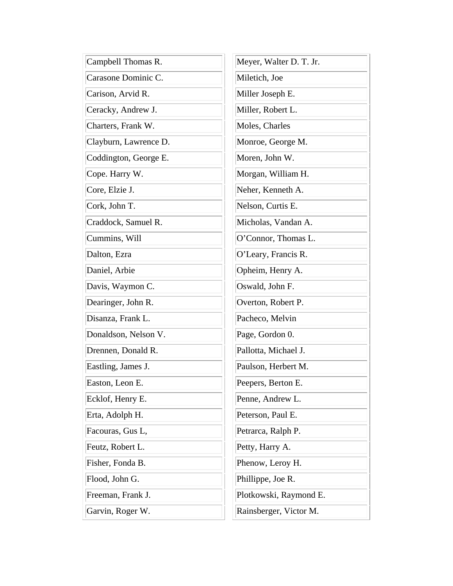| Campbell Thomas R.    | Meyer, Walter D. T. Jr. |
|-----------------------|-------------------------|
| Carasone Dominic C.   | Miletich, Joe           |
| Carison, Arvid R.     | Miller Joseph E.        |
| Ceracky, Andrew J.    | Miller, Robert L.       |
| Charters, Frank W.    | Moles, Charles          |
| Clayburn, Lawrence D. | Monroe, George M.       |
| Coddington, George E. | Moren, John W.          |
| Cope. Harry W.        | Morgan, William H.      |
| Core, Elzie J.        | Neher, Kenneth A.       |
| Cork, John T.         | Nelson, Curtis E.       |
| Craddock, Samuel R.   | Micholas, Vandan A.     |
| Cummins, Will         | O'Connor, Thomas L.     |
| Dalton, Ezra          | O'Leary, Francis R.     |
| Daniel, Arbie         | Opheim, Henry A.        |
| Davis, Waymon C.      | Oswald, John F.         |
| Dearinger, John R.    | Overton, Robert P.      |
| Disanza, Frank L.     | Pacheco, Melvin         |
| Donaldson, Nelson V.  | Page, Gordon 0.         |
| Drennen, Donald R.    | Pallotta, Michael J.    |
| Eastling, James J.    | Paulson, Herbert M.     |
| Easton, Leon E.       | Peepers, Berton E.      |
| Ecklof, Henry E.      | Penne, Andrew L.        |
| Erta, Adolph H.       | Peterson, Paul E.       |
| Facouras, Gus L,      | Petrarca, Ralph P.      |
| Feutz, Robert L.      | Petty, Harry A.         |
| Fisher, Fonda B.      | Phenow, Leroy H.        |
| Flood, John G.        | Phillippe, Joe R.       |
| Freeman, Frank J.     | Plotkowski, Raymond E.  |
| Garvin, Roger W.      | Rainsberger, Victor M.  |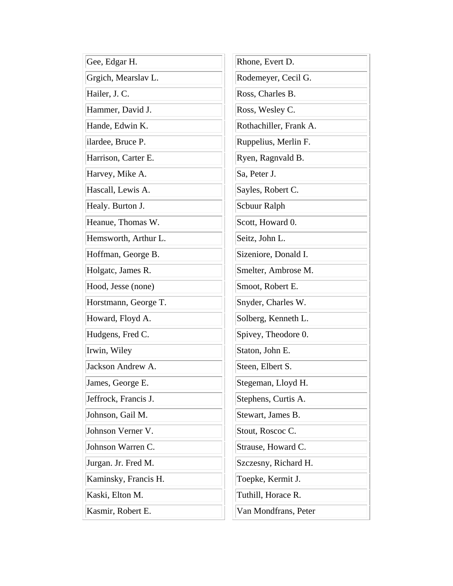| Gee, Edgar H.        | Rhone, Evert D.        |
|----------------------|------------------------|
| Grgich, Mearslav L.  | Rodemeyer, Cecil G.    |
| Hailer, J. C.        | Ross, Charles B.       |
| Hammer, David J.     | Ross, Wesley C.        |
| Hande, Edwin K.      | Rothachiller, Frank A. |
| ilardee, Bruce P.    | Ruppelius, Merlin F.   |
| Harrison, Carter E.  | Ryen, Ragnvald B.      |
| Harvey, Mike A.      | Sa, Peter J.           |
| Hascall, Lewis A.    | Sayles, Robert C.      |
| Healy. Burton J.     | Scbuur Ralph           |
| Heanue, Thomas W.    | Scott, Howard 0.       |
| Hemsworth, Arthur L. | Seitz, John L.         |
| Hoffman, George B.   | Sizeniore, Donald I.   |
| Holgatc, James R.    | Smelter, Ambrose M.    |
| Hood, Jesse (none)   | Smoot, Robert E.       |
| Horstmann, George T. | Snyder, Charles W.     |
| Howard, Floyd A.     | Solberg, Kenneth L.    |
| Hudgens, Fred C.     | Spivey, Theodore 0.    |
| Irwin, Wiley         | Staton, John E.        |
| Jackson Andrew A.    | Steen, Elbert S.       |
| James, George E.     | Stegeman, Lloyd H.     |
| Jeffrock, Francis J. | Stephens, Curtis A.    |
| Johnson, Gail M.     | Stewart, James B.      |
| Johnson Verner V.    | Stout, Roscoc C.       |
| Johnson Warren C.    | Strause, Howard C.     |
| Jurgan. Jr. Fred M.  | Szczesny, Richard H.   |
| Kaminsky, Francis H. | Toepke, Kermit J.      |
| Kaski, Elton M.      | Tuthill, Horace R.     |
| Kasmir, Robert E.    | Van Mondfrans, Peter   |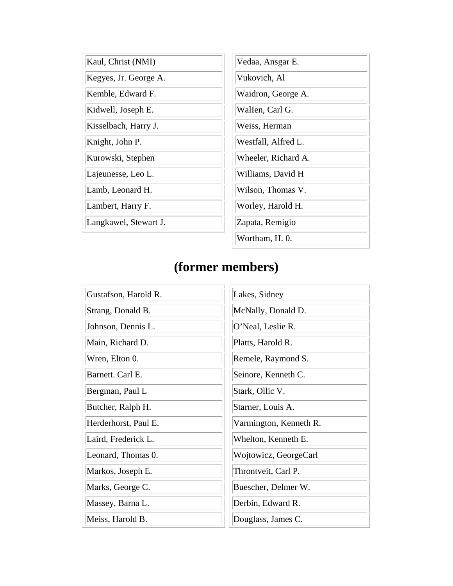| Kaul, Christ (NMI)    | Vedaa, Ansgar E.    |
|-----------------------|---------------------|
| Kegyes, Jr. George A. | Vukovich, Al        |
| Kemble, Edward F.     | Waidron, George A.  |
| Kidwell, Joseph E.    | Wallen, Carl G.     |
| Kisselbach, Harry J.  | Weiss, Herman       |
| Knight, John P.       | Westfall, Alfred L. |
| Kurowski, Stephen     | Wheeler, Richard A. |
| Lajeunesse, Leo L.    | Williams, David H   |
| Lamb, Leonard H.      | Wilson, Thomas V.   |
| Lambert, Harry F.     | Worley, Harold H.   |
| Langkawel, Stewart J. | Zapata, Remigio     |
|                       | Wortham, H. 0.      |

| Gustafson, Harold R. | Lakes, Sidney          |
|----------------------|------------------------|
| Strang, Donald B.    | McNally, Donald D.     |
| Johnson, Dennis L.   | O'Neal, Leslie R.      |
| Main, Richard D.     | Platts, Harold R.      |
| Wren, Elton 0.       | Remele, Raymond S.     |
| Barnett. Carl E.     | Seinore, Kenneth C.    |
| Bergman, Paul L      | Stark, Ollic V.        |
| Butcher, Ralph H.    | Starner, Louis A.      |
| Herderhorst, Paul E. | Varmington, Kenneth R. |
| Laird, Frederick L.  | Whelton, Kenneth E.    |
| Leonard, Thomas 0.   | Wojtowicz, GeorgeCarl  |
| Markos, Joseph E.    | Throntveit, Carl P.    |
| Marks, George C.     | Buescher, Delmer W.    |
| Massey, Barna L.     | Derbin, Edward R.      |
| Meiss, Harold B.     | Douglass, James C.     |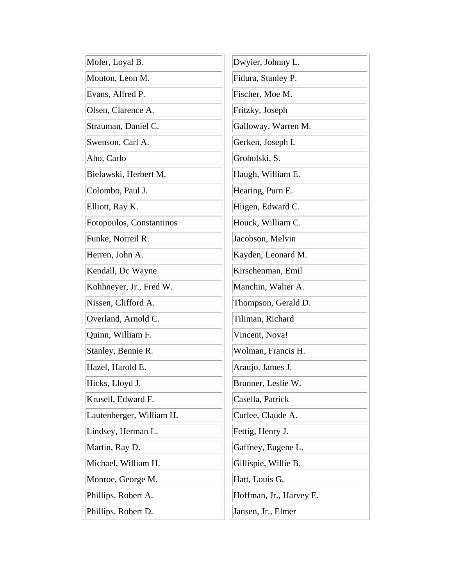| Moler, Loyal B.          | Dwyier, Johnny L.       |
|--------------------------|-------------------------|
| Mouton, Leon M.          | Fidura, Stanley P.      |
| Evans, Alfred P.         | Fischer, Moe M.         |
| Olsen, Clarence A.       | Fritzky, Joseph         |
| Strauman, Daniel C.      | Galloway, Warren M.     |
| Swenson, Carl A.         | Gerken, Joseph L        |
| Aho, Carlo               | Groholski, S.           |
| Bielawski, Herbert M.    | Haugh, William E.       |
| Colombo, Paul J.         | Hearing, Purn E.        |
| Elliott, Ray K.          | Hiigen, Edward C.       |
| Fotopoulos, Constantinos | Houck, William C.       |
| Funke, Norreil R.        | Jacobson, Melvin        |
| Herren, John A.          | Kayden, Leonard M.      |
| Kendall, Dc Wayne        | Kirschenman, Emil       |
| Kohhneyer, Jr., Fred W.  | Manchin, Walter A.      |
| Nissen, Clifford A.      | Thompson, Gerald D.     |
| Overland, Arnold C.      | Tiliman, Richard        |
| Quinn, William F.        | Vincent, Nova!          |
| Stanley, Bennie R.       | Wolman, Francis H.      |
| Hazel, Harold E.         | Araujo, James J.        |
| Hicks, Lloyd J.          | Brunner, Leslie W.      |
| Krusell, Edward F.       | Casella, Patrick        |
| Lautenberger, William H. | Curlee, Claude A.       |
| Lindsey, Herman L.       | Fettig, Henry J.        |
| Martin, Ray D.           | Gaffney, Eugene L.      |
| Michael, William H.      | Gillispie, Willie B.    |
| Monroe, George M.        | Hatt, Louis G.          |
| Phillips, Robert A.      | Hoffman, Jr., Harvey E. |
| Phillips, Robert D.      | Jansen, Jr., Elmer      |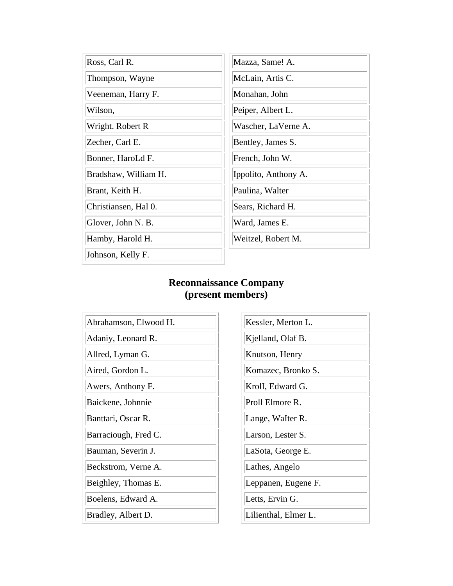| Ross, Carl R.        | Mazza, Same! A.      |
|----------------------|----------------------|
| Thompson, Wayne      | McLain, Artis C.     |
| Veeneman, Harry F.   | Monahan, John        |
| Wilson,              | Peiper, Albert L.    |
| Wright. Robert R     | Wascher, LaVerne A.  |
| Zecher, Carl E.      | Bentley, James S.    |
| Bonner, HaroLd F.    | French, John W.      |
| Bradshaw, William H. | Ippolito, Anthony A. |
| Brant, Keith H.      | Paulina, Walter      |
| Christiansen, Hal 0. | Sears, Richard H.    |
| Glover, John N. B.   | Ward, James E.       |
| Hamby, Harold H.     | Weitzel, Robert M.   |
| Johnson, Kelly F.    |                      |

### **Reconnaissance Company (present members)**

Abrahamson, Elwood H. Adaniy, Leonard R. Allred, Lyman G. Aired, Gordon L. Awers, Anthony F. Baickene, Johnnie Banttari, Oscar R. Barraciough, Fred C. Bauman, Severin J. Beckstrom, Verne A. Beighley, Thomas E. Boelens, Edward A. Bradley, Albert D.

| Kessler, Merton L.   |
|----------------------|
| Kjelland, Olaf B.    |
| Knutson, Henry       |
| Komazec, Bronko S.   |
| Kroll, Edward G.     |
| Proll Elmore R.      |
| Lange, Walter R.     |
| Larson, Lester S.    |
| LaSota, George E.    |
| Lathes, Angelo       |
| Leppanen, Eugene F.  |
| Letts, Ervin G.      |
| Lilienthal, Elmer L. |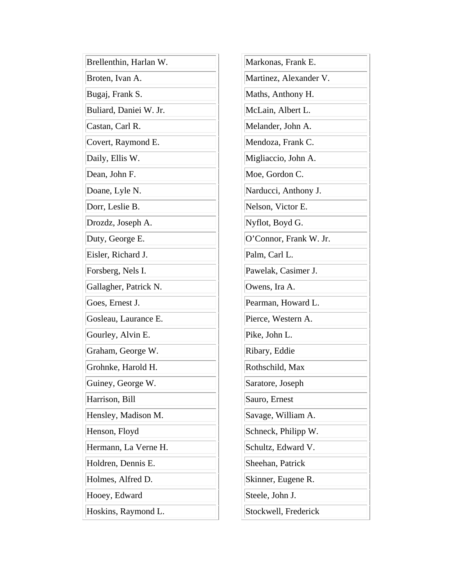| Brellenthin, Harlan W. | Markonas, Frank E.     |
|------------------------|------------------------|
| Broten, Ivan A.        | Martinez, Alexander V. |
| Bugaj, Frank S.        | Maths, Anthony H.      |
| Buliard, Daniei W. Jr. | McLain, Albert L.      |
| Castan, Carl R.        | Melander, John A.      |
| Covert, Raymond E.     | Mendoza, Frank C.      |
| Daily, Ellis W.        | Migliaccio, John A.    |
| Dean, John F.          | Moe, Gordon C.         |
| Doane, Lyle N.         | Narducci, Anthony J.   |
| Dorr, Leslie B.        | Nelson, Victor E.      |
| Drozdz, Joseph A.      | Nyflot, Boyd G.        |
| Duty, George E.        | O'Connor, Frank W. Jr. |
| Eisler, Richard J.     | Palm, Carl L.          |
| Forsberg, Nels I.      | Pawelak, Casimer J.    |
| Gallagher, Patrick N.  | Owens, Ira A.          |
| Goes, Ernest J.        | Pearman, Howard L.     |
| Gosleau, Laurance E.   | Pierce, Western A.     |
| Gourley, Alvin E.      | Pike, John L.          |
| Graham, George W.      | Ribary, Eddie          |
| Grohnke, Harold H.     | Rothschild, Max        |
| Guiney, George W.      | Saratore, Joseph       |
| Harrison, Bill         | Sauro, Ernest          |
| Hensley, Madison M.    | Savage, William A.     |
| Henson, Floyd          | Schneck, Philipp W.    |
| Hermann, La Verne H.   | Schultz, Edward V.     |
| Holdren, Dennis E.     | Sheehan, Patrick       |
| Holmes, Alfred D.      | Skinner, Eugene R.     |
| Hooey, Edward          | Steele, John J.        |
| Hoskins, Raymond L.    | Stockwell, Frederick   |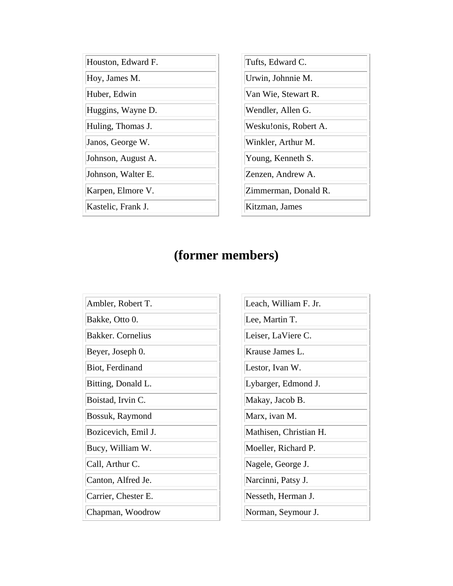| Houston, Edward F. | Tufts, Edward C.      |
|--------------------|-----------------------|
| Hoy, James M.      | Urwin, Johnnie M.     |
| Huber, Edwin       | Van Wie, Stewart R.   |
| Huggins, Wayne D.  | Wendler, Allen G.     |
| Huling, Thomas J.  | Wesku!onis, Robert A. |
| Janos, George W.   | Winkler, Arthur M.    |
| Johnson, August A. | Young, Kenneth S.     |
| Johnson, Walter E. | Zenzen, Andrew A.     |
| Karpen, Elmore V.  | Zimmerman, Donald R.  |
| Kastelic, Frank J. | Kitzman, James        |
|                    |                       |

| Ambler, Robert T.   |
|---------------------|
| Bakke, Otto 0.      |
| Bakker. Cornelius   |
| Beyer, Joseph 0.    |
| Biot, Ferdinand     |
| Bitting, Donald L.  |
| Boistad, Irvin C.   |
| Bossuk, Raymond     |
| Bozicevich, Emil J. |
| Bucy, William W.    |
| Call, Arthur C.     |
| Canton, Alfred Je.  |
| Carrier, Chester E. |
| Chapman, Woodrow    |

| Leach, William F. Jr.  |
|------------------------|
| Lee, Martin T.         |
| Leiser, LaViere C.     |
| Krause James L.        |
| Lestor, Ivan W.        |
| Lybarger, Edmond J.    |
| Makay, Jacob B.        |
| Marx, ivan M.          |
| Mathisen, Christian H. |
| Moeller, Richard P.    |
| Nagele, George J.      |
| Narcinni, Patsy J.     |
| Nesseth, Herman J.     |
| Norman, Seymour J.     |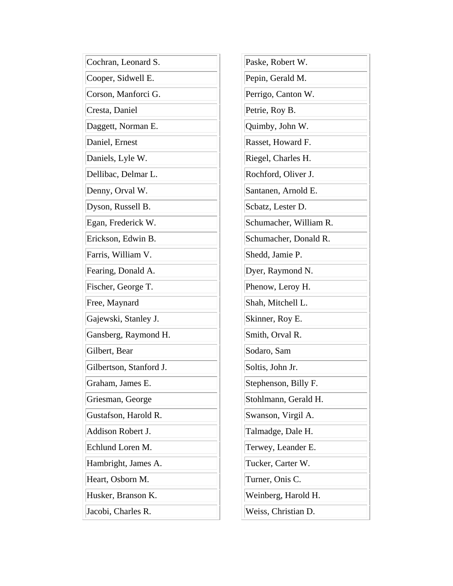| Cochran, Leonard S.     | Paske, Robert W.       |
|-------------------------|------------------------|
| Cooper, Sidwell E.      | Pepin, Gerald M.       |
| Corson, Manforci G.     | Perrigo, Canton W.     |
| Cresta, Daniel          | Petrie, Roy B.         |
| Daggett, Norman E.      | Quimby, John W.        |
| Daniel, Ernest          | Rasset, Howard F.      |
| Daniels, Lyle W.        | Riegel, Charles H.     |
| Dellibac, Delmar L.     | Rochford, Oliver J.    |
| Denny, Orval W.         | Santanen, Arnold E.    |
| Dyson, Russell B.       | Scbatz, Lester D.      |
| Egan, Frederick W.      | Schumacher, William R. |
| Erickson, Edwin B.      | Schumacher, Donald R.  |
| Farris, William V.      | Shedd, Jamie P.        |
| Fearing, Donald A.      | Dyer, Raymond N.       |
| Fischer, George T.      | Phenow, Leroy H.       |
| Free, Maynard           | Shah, Mitchell L.      |
| Gajewski, Stanley J.    | Skinner, Roy E.        |
| Gansberg, Raymond H.    | Smith, Orval R.        |
| Gilbert, Bear           | Sodaro, Sam            |
| Gilbertson, Stanford J. | Soltis, John Jr.       |
| Graham, James E.        | Stephenson, Billy F.   |
| Griesman, George        | Stohlmann, Gerald H.   |
| Gustafson, Harold R.    | Swanson, Virgil A.     |
| Addison Robert J.       | Talmadge, Dale H.      |
| Echlund Loren M.        | Terwey, Leander E.     |
| Hambright, James A.     | Tucker, Carter W.      |
| Heart, Osborn M.        | Turner, Onis C.        |
| Husker, Branson K.      | Weinberg, Harold H.    |
| Jacobi, Charles R.      | Weiss, Christian D.    |